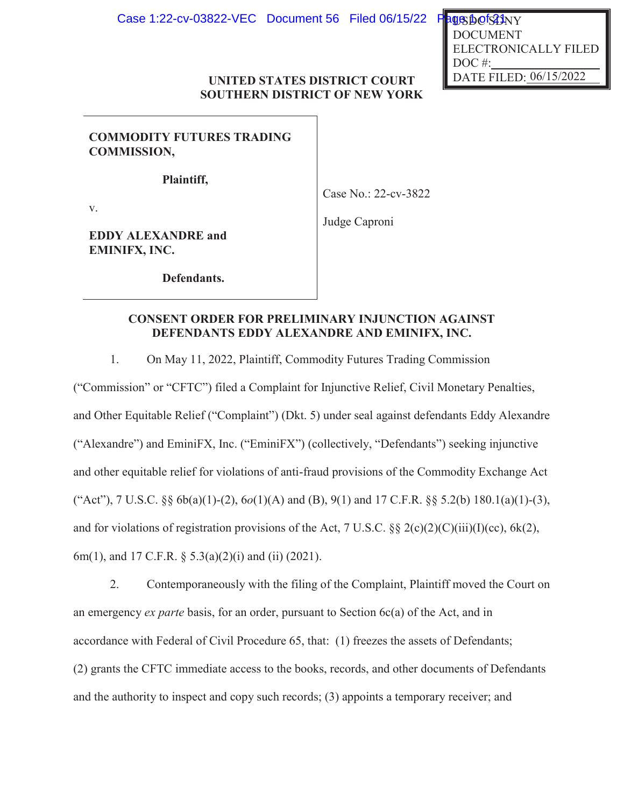DATE FILED: 06/15/2022 US DO<sup>1</sup>SLINY DOCUMENT ELECTRONICALLY FILED DOC<sup>#:</sup>

## **UNITED STATES DISTRICT COURT SOUTHERN DISTRICT OF NEW YORK**

**COMMODITY FUTURES TRADING COMMISSION,** 

**Plaintiff,**

Case No.: 22-cv-3822

v.

Judge Caproni

**EDDY ALEXANDRE and EMINIFX, INC.**

**Defendants.**

# **CONSENT ORDER FOR PRELIMINARY INJUNCTION AGAINST DEFENDANTS EDDY ALEXANDRE AND EMINIFX, INC.**

1. On May 11, 2022, Plaintiff, Commodity Futures Trading Commission

("Commission" or "CFTC") filed a Complaint for Injunctive Relief, Civil Monetary Penalties, and Other Equitable Relief ("Complaint") (Dkt. 5) under seal against defendants Eddy Alexandre ("Alexandre") and EminiFX, Inc. ("EminiFX") (collectively, "Defendants") seeking injunctive and other equitable relief for violations of anti-fraud provisions of the Commodity Exchange Act ("Act"), 7 U.S.C. §§ 6b(a)(1)-(2), 6*o*(1)(A) and (B), 9(1) and 17 C.F.R. §§ 5.2(b) 180.1(a)(1)-(3), and for violations of registration provisions of the Act, 7 U.S.C.  $\S § 2(c)(2)(C)(iii)(I)(cc), 6k(2),$ 6m(1), and 17 C.F.R. § 5.3(a)(2)(i) and (ii) (2021).

2. Contemporaneously with the filing of the Complaint, Plaintiff moved the Court on an emergency *ex parte* basis, for an order, pursuant to Section 6c(a) of the Act, and in accordance with Federal of Civil Procedure 65, that: (1) freezes the assets of Defendants; (2) grants the CFTC immediate access to the books, records, and other documents of Defendants and the authority to inspect and copy such records; (3) appoints a temporary receiver; and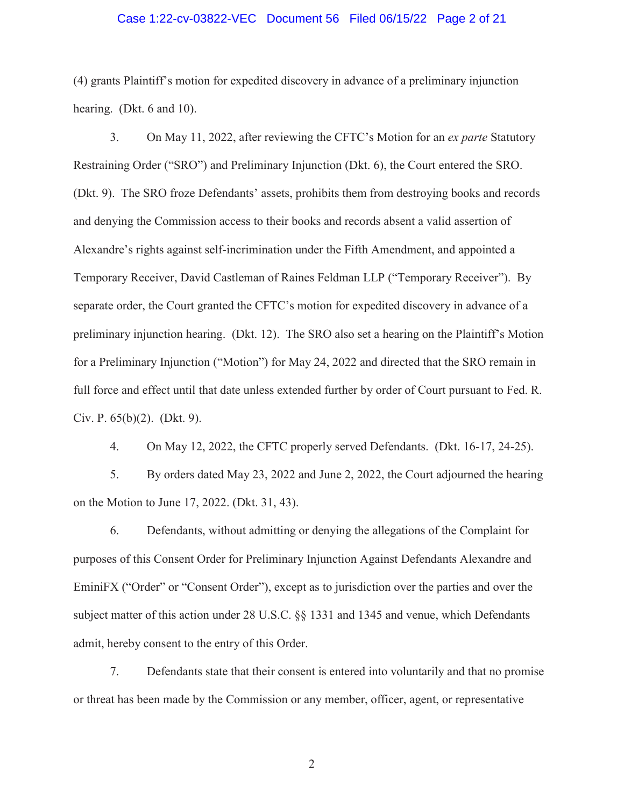#### Case 1:22-cv-03822-VEC Document 56 Filed 06/15/22 Page 2 of 21

(4) grants Plaintiff's motion for expedited discovery in advance of a preliminary injunction hearing. (Dkt. 6 and 10).

3. On May 11, 2022, after reviewing the CFTC's Motion for an *ex parte* Statutory Restraining Order ("SRO") and Preliminary Injunction (Dkt. 6), the Court entered the SRO. (Dkt. 9). The SRO froze Defendants' assets, prohibits them from destroying books and records and denying the Commission access to their books and records absent a valid assertion of Alexandre's rights against self-incrimination under the Fifth Amendment, and appointed a Temporary Receiver, David Castleman of Raines Feldman LLP ("Temporary Receiver"). By separate order, the Court granted the CFTC's motion for expedited discovery in advance of a preliminary injunction hearing. (Dkt. 12). The SRO also set a hearing on the Plaintiff's Motion for a Preliminary Injunction ("Motion") for May 24, 2022 and directed that the SRO remain in full force and effect until that date unless extended further by order of Court pursuant to Fed. R. Civ. P. 65(b)(2). (Dkt. 9).

4. On May 12, 2022, the CFTC properly served Defendants. (Dkt. 16-17, 24-25).

5. By orders dated May 23, 2022 and June 2, 2022, the Court adjourned the hearing on the Motion to June 17, 2022. (Dkt. 31, 43).

6. Defendants, without admitting or denying the allegations of the Complaint for purposes of this Consent Order for Preliminary Injunction Against Defendants Alexandre and EminiFX ("Order" or "Consent Order"), except as to jurisdiction over the parties and over the subject matter of this action under 28 U.S.C. §§ 1331 and 1345 and venue, which Defendants admit, hereby consent to the entry of this Order.

7. Defendants state that their consent is entered into voluntarily and that no promise or threat has been made by the Commission or any member, officer, agent, or representative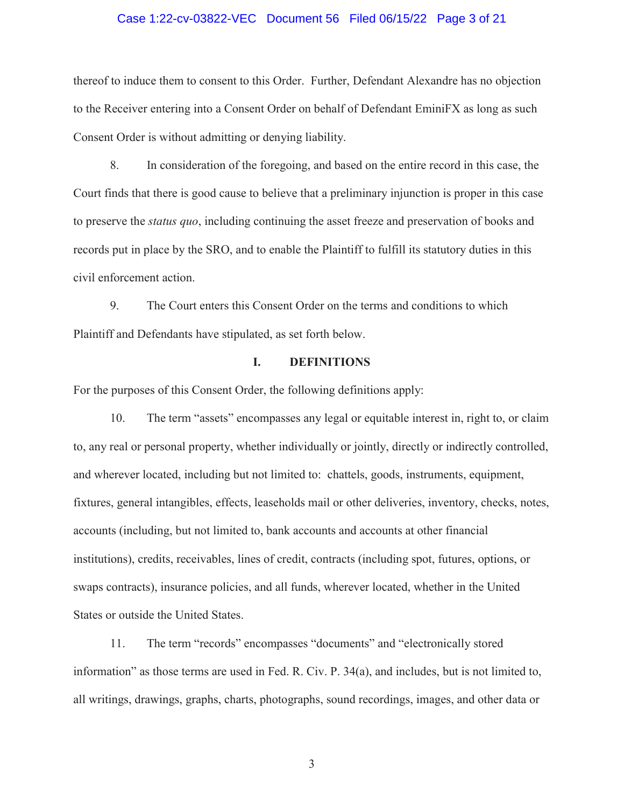#### Case 1:22-cv-03822-VEC Document 56 Filed 06/15/22 Page 3 of 21

thereof to induce them to consent to this Order. Further, Defendant Alexandre has no objection to the Receiver entering into a Consent Order on behalf of Defendant EminiFX as long as such Consent Order is without admitting or denying liability.

8. In consideration of the foregoing, and based on the entire record in this case, the Court finds that there is good cause to believe that a preliminary injunction is proper in this case to preserve the *status quo*, including continuing the asset freeze and preservation of books and records put in place by the SRO, and to enable the Plaintiff to fulfill its statutory duties in this civil enforcement action.

9. The Court enters this Consent Order on the terms and conditions to which Plaintiff and Defendants have stipulated, as set forth below.

### **I. DEFINITIONS**

For the purposes of this Consent Order, the following definitions apply:

10. The term "assets" encompasses any legal or equitable interest in, right to, or claim to, any real or personal property, whether individually or jointly, directly or indirectly controlled, and wherever located, including but not limited to: chattels, goods, instruments, equipment, fixtures, general intangibles, effects, leaseholds mail or other deliveries, inventory, checks, notes, accounts (including, but not limited to, bank accounts and accounts at other financial institutions), credits, receivables, lines of credit, contracts (including spot, futures, options, or swaps contracts), insurance policies, and all funds, wherever located, whether in the United States or outside the United States.

11. The term "records" encompasses "documents" and "electronically stored information" as those terms are used in Fed. R. Civ. P. 34(a), and includes, but is not limited to, all writings, drawings, graphs, charts, photographs, sound recordings, images, and other data or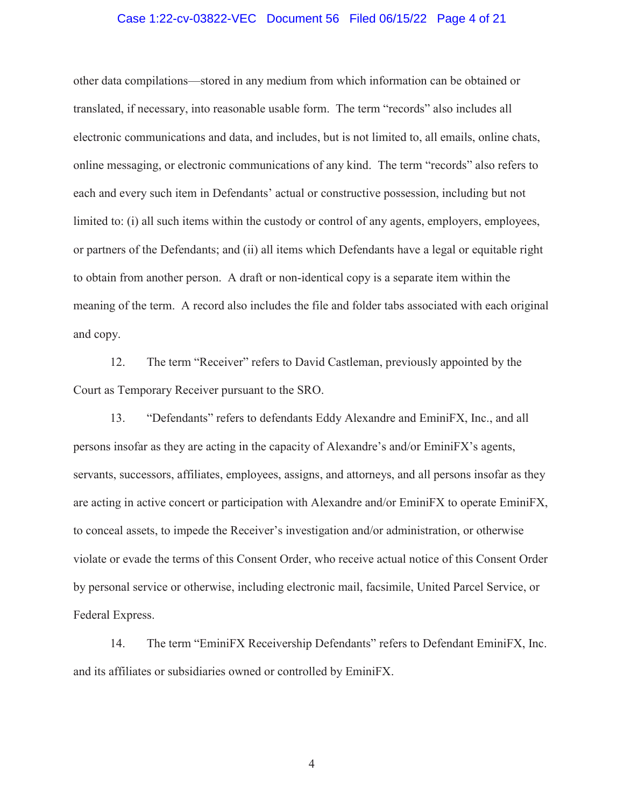### Case 1:22-cv-03822-VEC Document 56 Filed 06/15/22 Page 4 of 21

other data compilations—stored in any medium from which information can be obtained or translated, if necessary, into reasonable usable form. The term "records" also includes all electronic communications and data, and includes, but is not limited to, all emails, online chats, online messaging, or electronic communications of any kind. The term "records" also refers to each and every such item in Defendants' actual or constructive possession, including but not limited to: (i) all such items within the custody or control of any agents, employers, employees, or partners of the Defendants; and (ii) all items which Defendants have a legal or equitable right to obtain from another person. A draft or non-identical copy is a separate item within the meaning of the term. A record also includes the file and folder tabs associated with each original and copy.

12. The term "Receiver" refers to David Castleman, previously appointed by the Court as Temporary Receiver pursuant to the SRO.

13. "Defendants" refers to defendants Eddy Alexandre and EminiFX, Inc., and all persons insofar as they are acting in the capacity of Alexandre's and/or EminiFX's agents, servants, successors, affiliates, employees, assigns, and attorneys, and all persons insofar as they are acting in active concert or participation with Alexandre and/or EminiFX to operate EminiFX, to conceal assets, to impede the Receiver's investigation and/or administration, or otherwise violate or evade the terms of this Consent Order, who receive actual notice of this Consent Order by personal service or otherwise, including electronic mail, facsimile, United Parcel Service, or Federal Express.

14. The term "EminiFX Receivership Defendants" refers to Defendant EminiFX, Inc. and its affiliates or subsidiaries owned or controlled by EminiFX.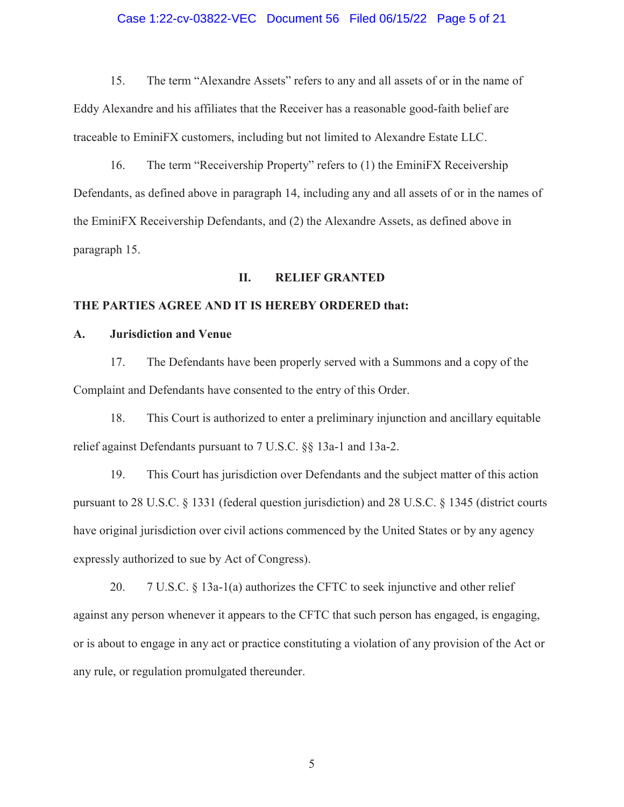# Case 1:22-cv-03822-VEC Document 56 Filed 06/15/22 Page 5 of 21

15. The term "Alexandre Assets" refers to any and all assets of or in the name of Eddy Alexandre and his affiliates that the Receiver has a reasonable good-faith belief are traceable to EminiFX customers, including but not limited to Alexandre Estate LLC.

16. The term "Receivership Property" refers to (1) the EminiFX Receivership Defendants, as defined above in paragraph 14, including any and all assets of or in the names of the EminiFX Receivership Defendants, and (2) the Alexandre Assets, as defined above in paragraph 15.

#### **II. RELIEF GRANTED**

### **THE PARTIES AGREE AND IT IS HEREBY ORDERED that:**

### **A. Jurisdiction and Venue**

17. The Defendants have been properly served with a Summons and a copy of the Complaint and Defendants have consented to the entry of this Order.

18. This Court is authorized to enter a preliminary injunction and ancillary equitable relief against Defendants pursuant to 7 U.S.C. §§ 13a-1 and 13a-2.

19. This Court has jurisdiction over Defendants and the subject matter of this action pursuant to 28 U.S.C. § 1331 (federal question jurisdiction) and 28 U.S.C. § 1345 (district courts have original jurisdiction over civil actions commenced by the United States or by any agency expressly authorized to sue by Act of Congress).

20. 7 U.S.C. § 13a-1(a) authorizes the CFTC to seek injunctive and other relief against any person whenever it appears to the CFTC that such person has engaged, is engaging, or is about to engage in any act or practice constituting a violation of any provision of the Act or any rule, or regulation promulgated thereunder.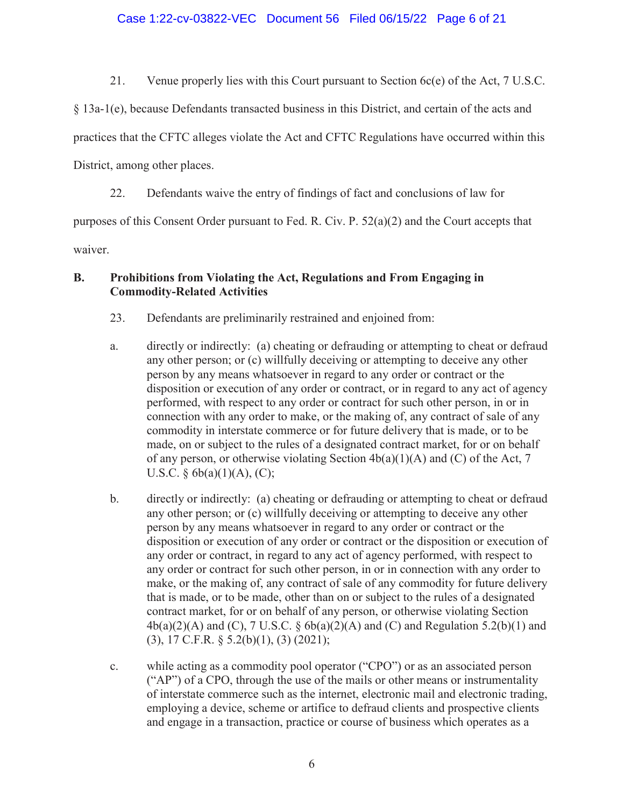## Case 1:22-cv-03822-VEC Document 56 Filed 06/15/22 Page 6 of 21

21. Venue properly lies with this Court pursuant to Section 6c(e) of the Act, 7 U.S.C.

§ 13a-1(e), because Defendants transacted business in this District, and certain of the acts and

practices that the CFTC alleges violate the Act and CFTC Regulations have occurred within this

District, among other places.

22. Defendants waive the entry of findings of fact and conclusions of law for

purposes of this Consent Order pursuant to Fed. R. Civ. P. 52(a)(2) and the Court accepts that

waiver.

## **B. Prohibitions from Violating the Act, Regulations and From Engaging in Commodity-Related Activities**

- 23. Defendants are preliminarily restrained and enjoined from:
- a. directly or indirectly: (a) cheating or defrauding or attempting to cheat or defraud any other person; or (c) willfully deceiving or attempting to deceive any other person by any means whatsoever in regard to any order or contract or the disposition or execution of any order or contract, or in regard to any act of agency performed, with respect to any order or contract for such other person, in or in connection with any order to make, or the making of, any contract of sale of any commodity in interstate commerce or for future delivery that is made, or to be made, on or subject to the rules of a designated contract market, for or on behalf of any person, or otherwise violating Section  $4b(a)(1)(A)$  and (C) of the Act, 7 U.S.C.  $\delta$  6b(a)(1)(A), (C);
- b. directly or indirectly: (a) cheating or defrauding or attempting to cheat or defraud any other person; or (c) willfully deceiving or attempting to deceive any other person by any means whatsoever in regard to any order or contract or the disposition or execution of any order or contract or the disposition or execution of any order or contract, in regard to any act of agency performed, with respect to any order or contract for such other person, in or in connection with any order to make, or the making of, any contract of sale of any commodity for future delivery that is made, or to be made, other than on or subject to the rules of a designated contract market, for or on behalf of any person, or otherwise violating Section  $4b(a)(2)(A)$  and (C), 7 U.S.C.  $\delta$   $6b(a)(2)(A)$  and (C) and Regulation 5.2(b)(1) and (3), 17 C.F.R. § 5.2(b)(1), (3) (2021);
- c. while acting as a commodity pool operator ("CPO") or as an associated person ("AP") of a CPO, through the use of the mails or other means or instrumentality of interstate commerce such as the internet, electronic mail and electronic trading, employing a device, scheme or artifice to defraud clients and prospective clients and engage in a transaction, practice or course of business which operates as a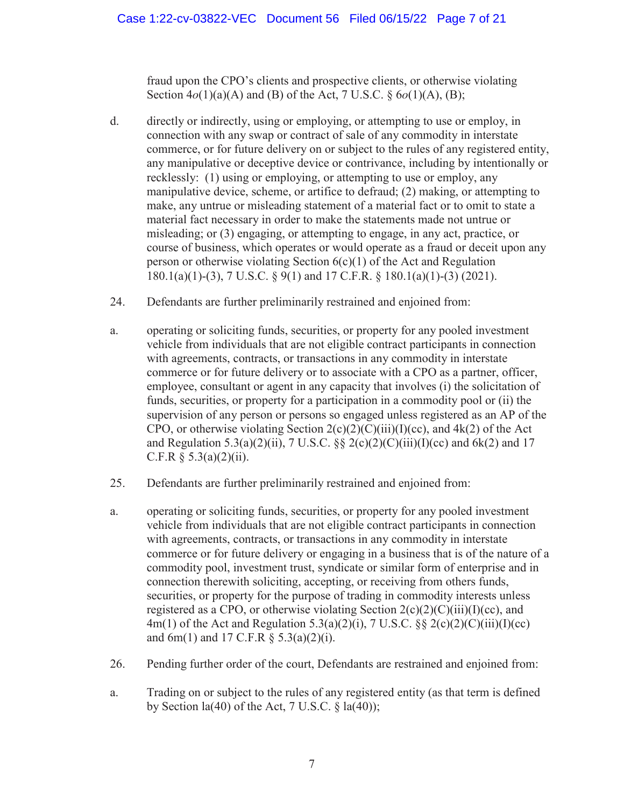fraud upon the CPO's clients and prospective clients, or otherwise violating Section 4*o*(1)(a)(A) and (B) of the Act, 7 U.S.C. § 6*o*(1)(A), (B);

- d. directly or indirectly, using or employing, or attempting to use or employ, in connection with any swap or contract of sale of any commodity in interstate commerce, or for future delivery on or subject to the rules of any registered entity, any manipulative or deceptive device or contrivance, including by intentionally or recklessly: (1) using or employing, or attempting to use or employ, any manipulative device, scheme, or artifice to defraud; (2) making, or attempting to make, any untrue or misleading statement of a material fact or to omit to state a material fact necessary in order to make the statements made not untrue or misleading; or (3) engaging, or attempting to engage, in any act, practice, or course of business, which operates or would operate as a fraud or deceit upon any person or otherwise violating Section  $6(c)(1)$  of the Act and Regulation 180.1(a)(1)-(3), 7 U.S.C. § 9(1) and 17 C.F.R. § 180.1(a)(1)-(3) (2021).
- 24. Defendants are further preliminarily restrained and enjoined from:
- a. operating or soliciting funds, securities, or property for any pooled investment vehicle from individuals that are not eligible contract participants in connection with agreements, contracts, or transactions in any commodity in interstate commerce or for future delivery or to associate with a CPO as a partner, officer, employee, consultant or agent in any capacity that involves (i) the solicitation of funds, securities, or property for a participation in a commodity pool or (ii) the supervision of any person or persons so engaged unless registered as an AP of the CPO, or otherwise violating Section  $2(c)(2)(C)(iii)(I)(cc)$ , and  $4k(2)$  of the Act and Regulation 5.3(a)(2)(ii), 7 U.S.C. §§ 2(c)(2)(C)(iii)(I)(cc) and 6k(2) and 17 C.F.R  $§ 5.3(a)(2)(ii)$ .
- 25. Defendants are further preliminarily restrained and enjoined from:
- a. operating or soliciting funds, securities, or property for any pooled investment vehicle from individuals that are not eligible contract participants in connection with agreements, contracts, or transactions in any commodity in interstate commerce or for future delivery or engaging in a business that is of the nature of a commodity pool, investment trust, syndicate or similar form of enterprise and in connection therewith soliciting, accepting, or receiving from others funds, securities, or property for the purpose of trading in commodity interests unless registered as a CPO, or otherwise violating Section  $2(c)(2)(C)(iii)(I)(cc)$ , and 4m(1) of the Act and Regulation 5.3(a)(2)(i), 7 U.S.C. §§ 2(c)(2)(C)(iii)(I)(cc) and  $6m(1)$  and  $17$  C.F.R  $\S$  5.3(a)(2)(i).
- 26. Pending further order of the court, Defendants are restrained and enjoined from:
- a. Trading on or subject to the rules of any registered entity (as that term is defined by Section  $la(40)$  of the Act, 7 U.S.C. §  $la(40)$ ;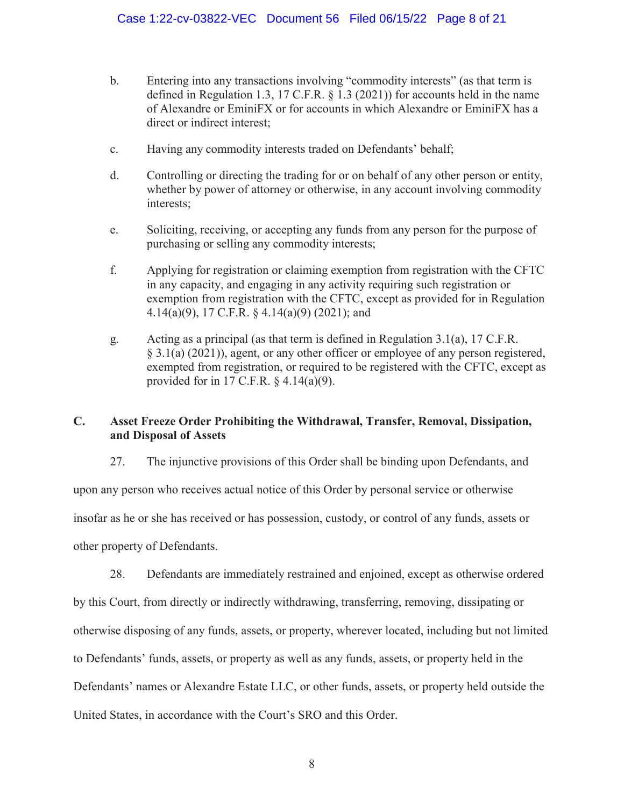- b. Entering into any transactions involving "commodity interests" (as that term is defined in Regulation 1.3, 17 C.F.R. § 1.3 (2021)) for accounts held in the name of Alexandre or EminiFX or for accounts in which Alexandre or EminiFX has a direct or indirect interest;
- c. Having any commodity interests traded on Defendants' behalf;
- d. Controlling or directing the trading for or on behalf of any other person or entity, whether by power of attorney or otherwise, in any account involving commodity interests;
- e. Soliciting, receiving, or accepting any funds from any person for the purpose of purchasing or selling any commodity interests;
- f. Applying for registration or claiming exemption from registration with the CFTC in any capacity, and engaging in any activity requiring such registration or exemption from registration with the CFTC, except as provided for in Regulation 4.14(a)(9), 17 C.F.R. § 4.14(a)(9) (2021); and
- g. Acting as a principal (as that term is defined in Regulation 3.1(a), 17 C.F.R. § 3.1(a) (2021)), agent, or any other officer or employee of any person registered, exempted from registration, or required to be registered with the CFTC, except as provided for in 17 C.F.R.  $\S$  4.14(a)(9).

# **C. Asset Freeze Order Prohibiting the Withdrawal, Transfer, Removal, Dissipation, and Disposal of Assets**

27. The injunctive provisions of this Order shall be binding upon Defendants, and

upon any person who receives actual notice of this Order by personal service or otherwise

insofar as he or she has received or has possession, custody, or control of any funds, assets or

other property of Defendants.

28. Defendants are immediately restrained and enjoined, except as otherwise ordered by this Court, from directly or indirectly withdrawing, transferring, removing, dissipating or otherwise disposing of any funds, assets, or property, wherever located, including but not limited to Defendants' funds, assets, or property as well as any funds, assets, or property held in the Defendants' names or Alexandre Estate LLC, or other funds, assets, or property held outside the United States, in accordance with the Court's SRO and this Order.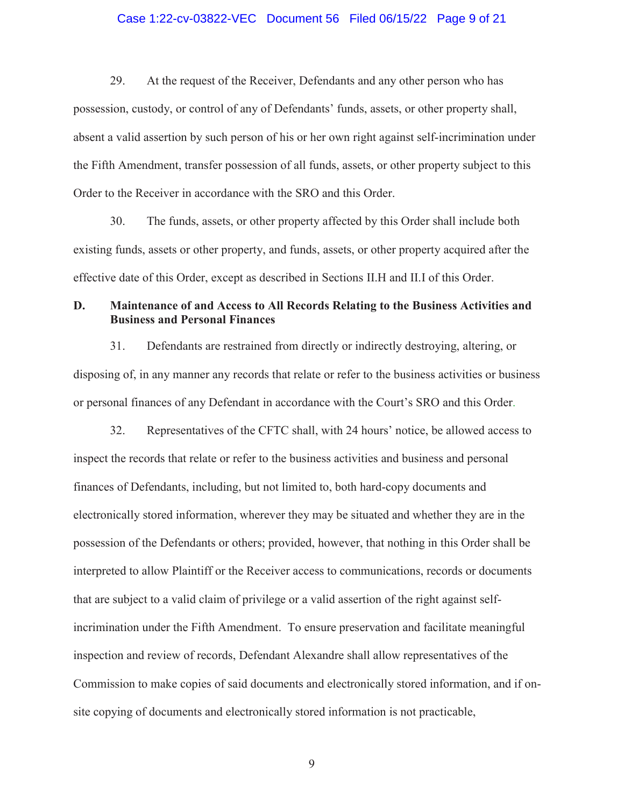# Case 1:22-cv-03822-VEC Document 56 Filed 06/15/22 Page 9 of 21

29. At the request of the Receiver, Defendants and any other person who has possession, custody, or control of any of Defendants' funds, assets, or other property shall, absent a valid assertion by such person of his or her own right against self-incrimination under the Fifth Amendment, transfer possession of all funds, assets, or other property subject to this Order to the Receiver in accordance with the SRO and this Order.

30. The funds, assets, or other property affected by this Order shall include both existing funds, assets or other property, and funds, assets, or other property acquired after the effective date of this Order, except as described in Sections II.H and II.I of this Order.

# **D. Maintenance of and Access to All Records Relating to the Business Activities and Business and Personal Finances**

31. Defendants are restrained from directly or indirectly destroying, altering, or disposing of, in any manner any records that relate or refer to the business activities or business or personal finances of any Defendant in accordance with the Court's SRO and this Order.

32. Representatives of the CFTC shall, with 24 hours' notice, be allowed access to inspect the records that relate or refer to the business activities and business and personal finances of Defendants, including, but not limited to, both hard-copy documents and electronically stored information, wherever they may be situated and whether they are in the possession of the Defendants or others; provided, however, that nothing in this Order shall be interpreted to allow Plaintiff or the Receiver access to communications, records or documents that are subject to a valid claim of privilege or a valid assertion of the right against selfincrimination under the Fifth Amendment. To ensure preservation and facilitate meaningful inspection and review of records, Defendant Alexandre shall allow representatives of the Commission to make copies of said documents and electronically stored information, and if onsite copying of documents and electronically stored information is not practicable,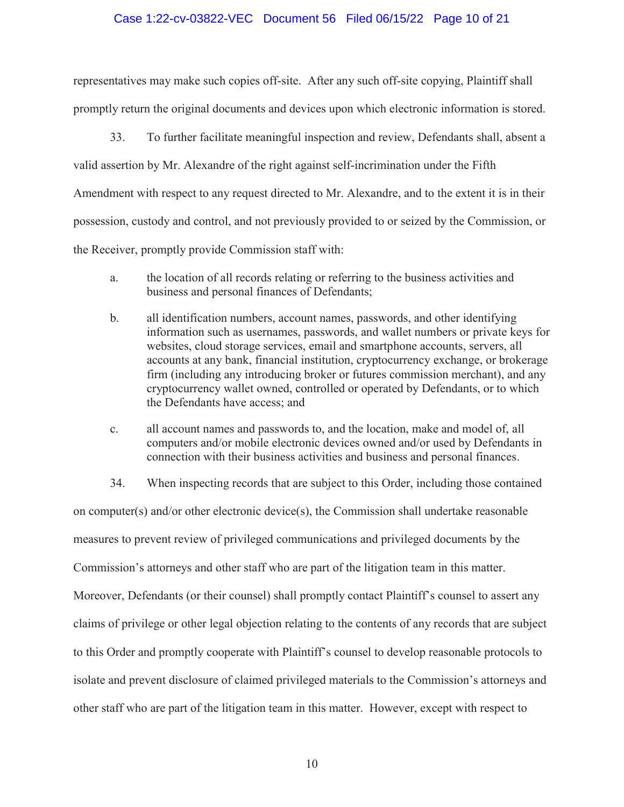### Case 1:22-cv-03822-VEC Document 56 Filed 06/15/22 Page 10 of 21

representatives may make such copies off-site. After any such off-site copying, Plaintiff shall promptly return the original documents and devices upon which electronic information is stored.

33. To further facilitate meaningful inspection and review, Defendants shall, absent a valid assertion by Mr. Alexandre of the right against self-incrimination under the Fifth Amendment with respect to any request directed to Mr. Alexandre, and to the extent it is in their possession, custody and control, and not previously provided to or seized by the Commission, or the Receiver, promptly provide Commission staff with:

- a. the location of all records relating or referring to the business activities and business and personal finances of Defendants;
- b. all identification numbers, account names, passwords, and other identifying information such as usernames, passwords, and wallet numbers or private keys for websites, cloud storage services, email and smartphone accounts, servers, all accounts at any bank, financial institution, cryptocurrency exchange, or brokerage firm (including any introducing broker or futures commission merchant), and any cryptocurrency wallet owned, controlled or operated by Defendants, or to which the Defendants have access; and
- c. all account names and passwords to, and the location, make and model of, all computers and/or mobile electronic devices owned and/or used by Defendants in connection with their business activities and business and personal finances.

34. When inspecting records that are subject to this Order, including those contained

on computer(s) and/or other electronic device(s), the Commission shall undertake reasonable measures to prevent review of privileged communications and privileged documents by the Commission's attorneys and other staff who are part of the litigation team in this matter. Moreover, Defendants (or their counsel) shall promptly contact Plaintiff's counsel to assert any claims of privilege or other legal objection relating to the contents of any records that are subject to this Order and promptly cooperate with Plaintiff's counsel to develop reasonable protocols to isolate and prevent disclosure of claimed privileged materials to the Commission's attorneys and other staff who are part of the litigation team in this matter. However, except with respect to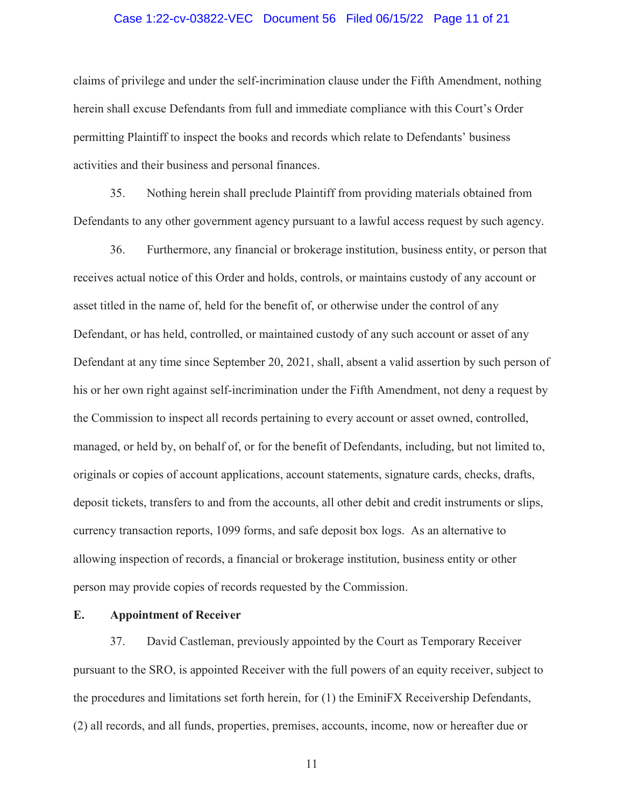### Case 1:22-cv-03822-VEC Document 56 Filed 06/15/22 Page 11 of 21

claims of privilege and under the self-incrimination clause under the Fifth Amendment, nothing herein shall excuse Defendants from full and immediate compliance with this Court's Order permitting Plaintiff to inspect the books and records which relate to Defendants' business activities and their business and personal finances.

35. Nothing herein shall preclude Plaintiff from providing materials obtained from Defendants to any other government agency pursuant to a lawful access request by such agency.

36. Furthermore, any financial or brokerage institution, business entity, or person that receives actual notice of this Order and holds, controls, or maintains custody of any account or asset titled in the name of, held for the benefit of, or otherwise under the control of any Defendant, or has held, controlled, or maintained custody of any such account or asset of any Defendant at any time since September 20, 2021, shall, absent a valid assertion by such person of his or her own right against self-incrimination under the Fifth Amendment, not deny a request by the Commission to inspect all records pertaining to every account or asset owned, controlled, managed, or held by, on behalf of, or for the benefit of Defendants, including, but not limited to, originals or copies of account applications, account statements, signature cards, checks, drafts, deposit tickets, transfers to and from the accounts, all other debit and credit instruments or slips, currency transaction reports, 1099 forms, and safe deposit box logs. As an alternative to allowing inspection of records, a financial or brokerage institution, business entity or other person may provide copies of records requested by the Commission.

### **E. Appointment of Receiver**

37. David Castleman, previously appointed by the Court as Temporary Receiver pursuant to the SRO, is appointed Receiver with the full powers of an equity receiver, subject to the procedures and limitations set forth herein, for (1) the EminiFX Receivership Defendants, (2) all records, and all funds, properties, premises, accounts, income, now or hereafter due or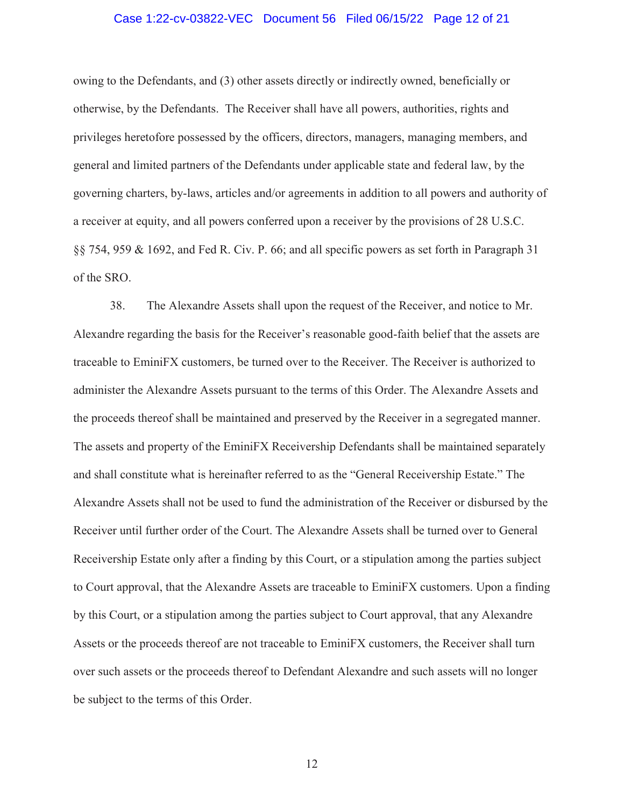### Case 1:22-cv-03822-VEC Document 56 Filed 06/15/22 Page 12 of 21

owing to the Defendants, and (3) other assets directly or indirectly owned, beneficially or otherwise, by the Defendants. The Receiver shall have all powers, authorities, rights and privileges heretofore possessed by the officers, directors, managers, managing members, and general and limited partners of the Defendants under applicable state and federal law, by the governing charters, by-laws, articles and/or agreements in addition to all powers and authority of a receiver at equity, and all powers conferred upon a receiver by the provisions of 28 U.S.C. §§ 754, 959 & 1692, and Fed R. Civ. P. 66; and all specific powers as set forth in Paragraph 31 of the SRO.

38. The Alexandre Assets shall upon the request of the Receiver, and notice to Mr. Alexandre regarding the basis for the Receiver's reasonable good-faith belief that the assets are traceable to EminiFX customers, be turned over to the Receiver. The Receiver is authorized to administer the Alexandre Assets pursuant to the terms of this Order. The Alexandre Assets and the proceeds thereof shall be maintained and preserved by the Receiver in a segregated manner. The assets and property of the EminiFX Receivership Defendants shall be maintained separately and shall constitute what is hereinafter referred to as the "General Receivership Estate." The Alexandre Assets shall not be used to fund the administration of the Receiver or disbursed by the Receiver until further order of the Court. The Alexandre Assets shall be turned over to General Receivership Estate only after a finding by this Court, or a stipulation among the parties subject to Court approval, that the Alexandre Assets are traceable to EminiFX customers. Upon a finding by this Court, or a stipulation among the parties subject to Court approval, that any Alexandre Assets or the proceeds thereof are not traceable to EminiFX customers, the Receiver shall turn over such assets or the proceeds thereof to Defendant Alexandre and such assets will no longer be subject to the terms of this Order.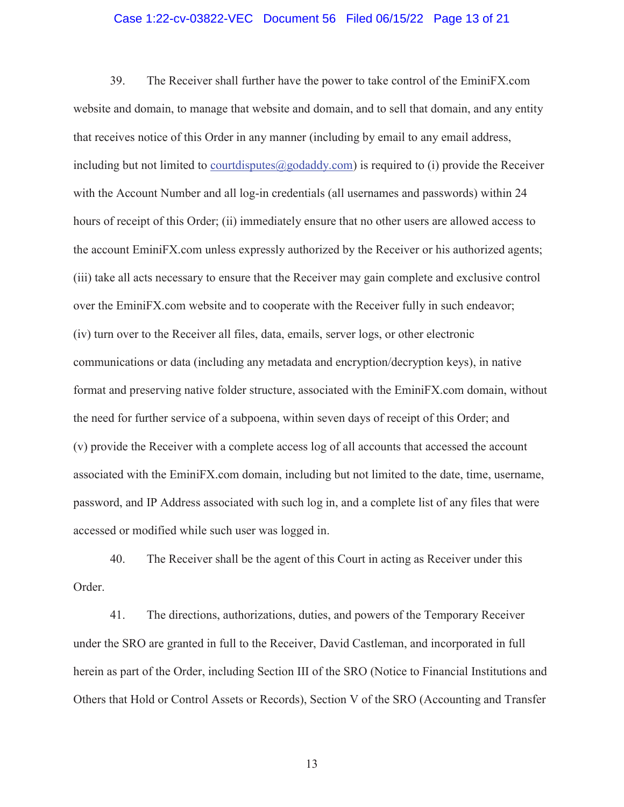### Case 1:22-cv-03822-VEC Document 56 Filed 06/15/22 Page 13 of 21

39. The Receiver shall further have the power to take control of the EminiFX.com website and domain, to manage that website and domain, and to sell that domain, and any entity that receives notice of this Order in any manner (including by email to any email address, including but not limited to court disputes  $(a)$  godaddy.com) is required to (i) provide the Receiver with the Account Number and all log-in credentials (all usernames and passwords) within 24 hours of receipt of this Order; (ii) immediately ensure that no other users are allowed access to the account EminiFX.com unless expressly authorized by the Receiver or his authorized agents; (iii) take all acts necessary to ensure that the Receiver may gain complete and exclusive control over the EminiFX.com website and to cooperate with the Receiver fully in such endeavor; (iv) turn over to the Receiver all files, data, emails, server logs, or other electronic communications or data (including any metadata and encryption/decryption keys), in native format and preserving native folder structure, associated with the EminiFX.com domain, without the need for further service of a subpoena, within seven days of receipt of this Order; and (v) provide the Receiver with a complete access log of all accounts that accessed the account associated with the EminiFX.com domain, including but not limited to the date, time, username, password, and IP Address associated with such log in, and a complete list of any files that were accessed or modified while such user was logged in.

40. The Receiver shall be the agent of this Court in acting as Receiver under this Order.

41. The directions, authorizations, duties, and powers of the Temporary Receiver under the SRO are granted in full to the Receiver, David Castleman, and incorporated in full herein as part of the Order, including Section III of the SRO (Notice to Financial Institutions and Others that Hold or Control Assets or Records), Section V of the SRO (Accounting and Transfer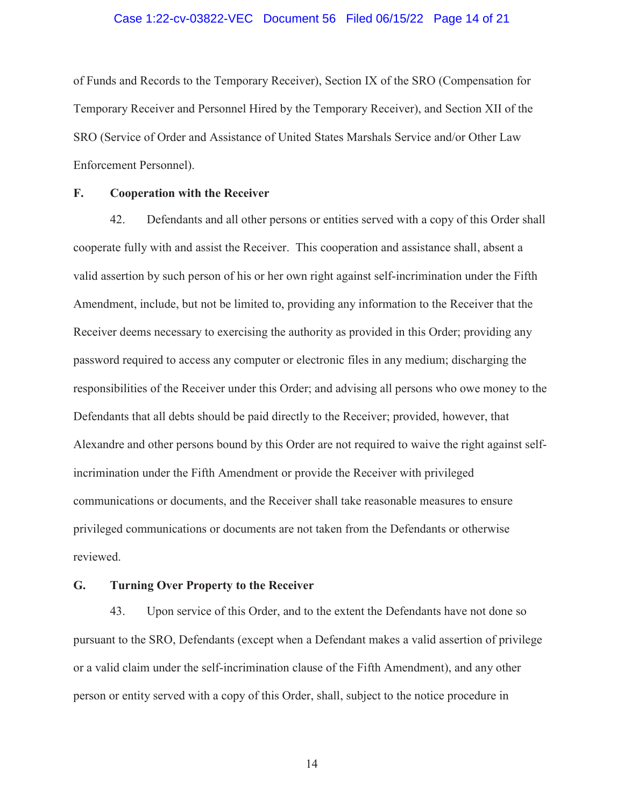### Case 1:22-cv-03822-VEC Document 56 Filed 06/15/22 Page 14 of 21

of Funds and Records to the Temporary Receiver), Section IX of the SRO (Compensation for Temporary Receiver and Personnel Hired by the Temporary Receiver), and Section XII of the SRO (Service of Order and Assistance of United States Marshals Service and/or Other Law Enforcement Personnel).

## **F. Cooperation with the Receiver**

42. Defendants and all other persons or entities served with a copy of this Order shall cooperate fully with and assist the Receiver. This cooperation and assistance shall, absent a valid assertion by such person of his or her own right against self-incrimination under the Fifth Amendment, include, but not be limited to, providing any information to the Receiver that the Receiver deems necessary to exercising the authority as provided in this Order; providing any password required to access any computer or electronic files in any medium; discharging the responsibilities of the Receiver under this Order; and advising all persons who owe money to the Defendants that all debts should be paid directly to the Receiver; provided, however, that Alexandre and other persons bound by this Order are not required to waive the right against selfincrimination under the Fifth Amendment or provide the Receiver with privileged communications or documents, and the Receiver shall take reasonable measures to ensure privileged communications or documents are not taken from the Defendants or otherwise reviewed.

### **G. Turning Over Property to the Receiver**

43. Upon service of this Order, and to the extent the Defendants have not done so pursuant to the SRO, Defendants (except when a Defendant makes a valid assertion of privilege or a valid claim under the self-incrimination clause of the Fifth Amendment), and any other person or entity served with a copy of this Order, shall, subject to the notice procedure in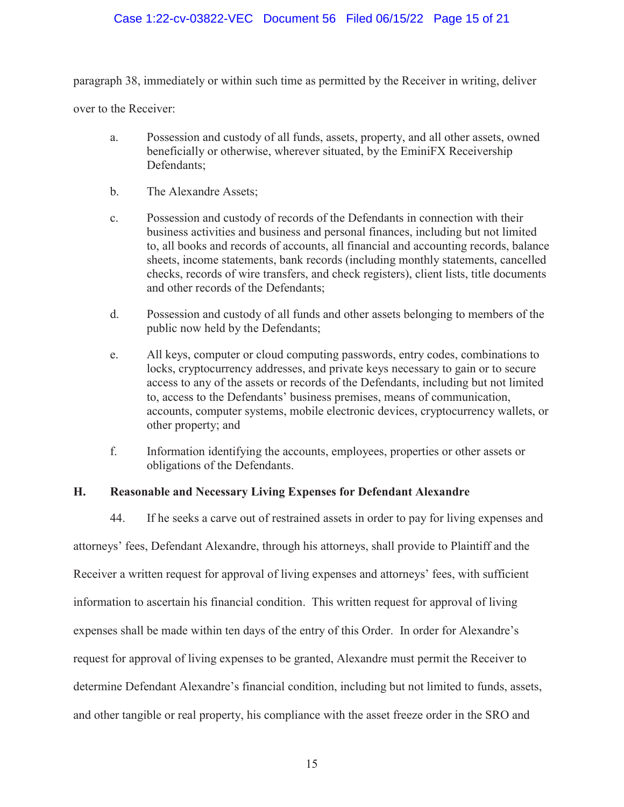# Case 1:22-cv-03822-VEC Document 56 Filed 06/15/22 Page 15 of 21

paragraph 38, immediately or within such time as permitted by the Receiver in writing, deliver

over to the Receiver:

- a. Possession and custody of all funds, assets, property, and all other assets, owned beneficially or otherwise, wherever situated, by the EminiFX Receivership Defendants;
- b. The Alexandre Assets;
- c. Possession and custody of records of the Defendants in connection with their business activities and business and personal finances, including but not limited to, all books and records of accounts, all financial and accounting records, balance sheets, income statements, bank records (including monthly statements, cancelled checks, records of wire transfers, and check registers), client lists, title documents and other records of the Defendants;
- d. Possession and custody of all funds and other assets belonging to members of the public now held by the Defendants;
- e. All keys, computer or cloud computing passwords, entry codes, combinations to locks, cryptocurrency addresses, and private keys necessary to gain or to secure access to any of the assets or records of the Defendants, including but not limited to, access to the Defendants' business premises, means of communication, accounts, computer systems, mobile electronic devices, cryptocurrency wallets, or other property; and
- f. Information identifying the accounts, employees, properties or other assets or obligations of the Defendants.

## **H. Reasonable and Necessary Living Expenses for Defendant Alexandre**

44. If he seeks a carve out of restrained assets in order to pay for living expenses and attorneys' fees, Defendant Alexandre, through his attorneys, shall provide to Plaintiff and the Receiver a written request for approval of living expenses and attorneys' fees, with sufficient information to ascertain his financial condition. This written request for approval of living expenses shall be made within ten days of the entry of this Order. In order for Alexandre's request for approval of living expenses to be granted, Alexandre must permit the Receiver to determine Defendant Alexandre's financial condition, including but not limited to funds, assets, and other tangible or real property, his compliance with the asset freeze order in the SRO and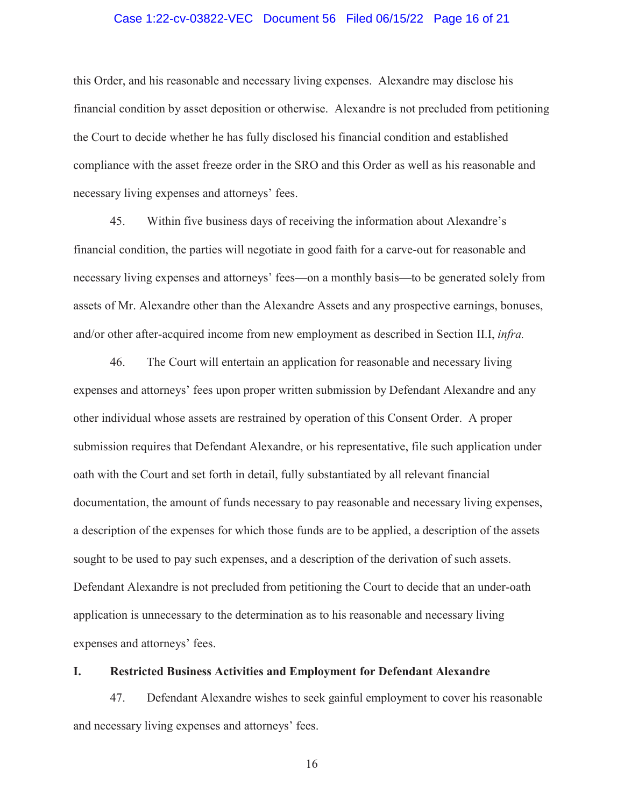### Case 1:22-cv-03822-VEC Document 56 Filed 06/15/22 Page 16 of 21

this Order, and his reasonable and necessary living expenses. Alexandre may disclose his financial condition by asset deposition or otherwise. Alexandre is not precluded from petitioning the Court to decide whether he has fully disclosed his financial condition and established compliance with the asset freeze order in the SRO and this Order as well as his reasonable and necessary living expenses and attorneys' fees.

45. Within five business days of receiving the information about Alexandre's financial condition, the parties will negotiate in good faith for a carve-out for reasonable and necessary living expenses and attorneys' fees—on a monthly basis—to be generated solely from assets of Mr. Alexandre other than the Alexandre Assets and any prospective earnings, bonuses, and/or other after-acquired income from new employment as described in Section II.I, *infra.*

46. The Court will entertain an application for reasonable and necessary living expenses and attorneys' fees upon proper written submission by Defendant Alexandre and any other individual whose assets are restrained by operation of this Consent Order. A proper submission requires that Defendant Alexandre, or his representative, file such application under oath with the Court and set forth in detail, fully substantiated by all relevant financial documentation, the amount of funds necessary to pay reasonable and necessary living expenses, a description of the expenses for which those funds are to be applied, a description of the assets sought to be used to pay such expenses, and a description of the derivation of such assets. Defendant Alexandre is not precluded from petitioning the Court to decide that an under-oath application is unnecessary to the determination as to his reasonable and necessary living expenses and attorneys' fees.

## **I. Restricted Business Activities and Employment for Defendant Alexandre**

47. Defendant Alexandre wishes to seek gainful employment to cover his reasonable and necessary living expenses and attorneys' fees.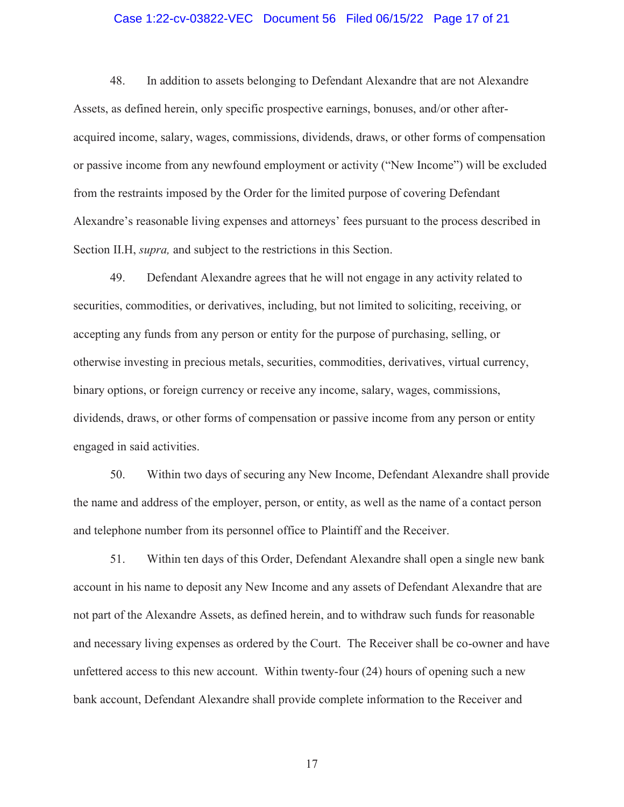### Case 1:22-cv-03822-VEC Document 56 Filed 06/15/22 Page 17 of 21

48. In addition to assets belonging to Defendant Alexandre that are not Alexandre Assets, as defined herein, only specific prospective earnings, bonuses, and/or other afteracquired income, salary, wages, commissions, dividends, draws, or other forms of compensation or passive income from any newfound employment or activity ("New Income") will be excluded from the restraints imposed by the Order for the limited purpose of covering Defendant Alexandre's reasonable living expenses and attorneys' fees pursuant to the process described in Section II.H, *supra,* and subject to the restrictions in this Section.

49. Defendant Alexandre agrees that he will not engage in any activity related to securities, commodities, or derivatives, including, but not limited to soliciting, receiving, or accepting any funds from any person or entity for the purpose of purchasing, selling, or otherwise investing in precious metals, securities, commodities, derivatives, virtual currency, binary options, or foreign currency or receive any income, salary, wages, commissions, dividends, draws, or other forms of compensation or passive income from any person or entity engaged in said activities.

50. Within two days of securing any New Income, Defendant Alexandre shall provide the name and address of the employer, person, or entity, as well as the name of a contact person and telephone number from its personnel office to Plaintiff and the Receiver.

51. Within ten days of this Order, Defendant Alexandre shall open a single new bank account in his name to deposit any New Income and any assets of Defendant Alexandre that are not part of the Alexandre Assets, as defined herein, and to withdraw such funds for reasonable and necessary living expenses as ordered by the Court. The Receiver shall be co-owner and have unfettered access to this new account. Within twenty-four (24) hours of opening such a new bank account, Defendant Alexandre shall provide complete information to the Receiver and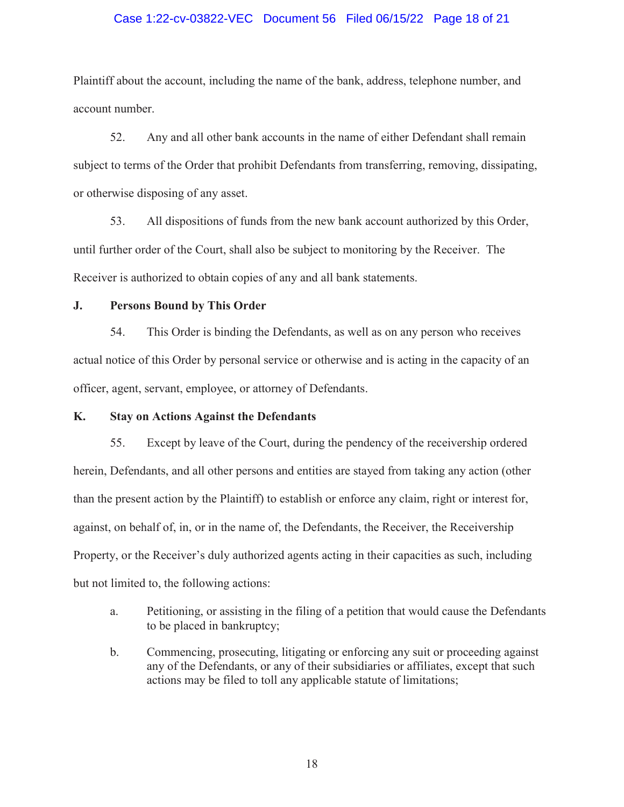### Case 1:22-cv-03822-VEC Document 56 Filed 06/15/22 Page 18 of 21

Plaintiff about the account, including the name of the bank, address, telephone number, and account number.

52. Any and all other bank accounts in the name of either Defendant shall remain subject to terms of the Order that prohibit Defendants from transferring, removing, dissipating, or otherwise disposing of any asset.

53. All dispositions of funds from the new bank account authorized by this Order, until further order of the Court, shall also be subject to monitoring by the Receiver. The Receiver is authorized to obtain copies of any and all bank statements.

### **J. Persons Bound by This Order**

54. This Order is binding the Defendants, as well as on any person who receives actual notice of this Order by personal service or otherwise and is acting in the capacity of an officer, agent, servant, employee, or attorney of Defendants.

## **K. Stay on Actions Against the Defendants**

55. Except by leave of the Court, during the pendency of the receivership ordered herein, Defendants, and all other persons and entities are stayed from taking any action (other than the present action by the Plaintiff) to establish or enforce any claim, right or interest for, against, on behalf of, in, or in the name of, the Defendants, the Receiver, the Receivership Property, or the Receiver's duly authorized agents acting in their capacities as such, including but not limited to, the following actions:

- a. Petitioning, or assisting in the filing of a petition that would cause the Defendants to be placed in bankruptcy;
- b. Commencing, prosecuting, litigating or enforcing any suit or proceeding against any of the Defendants, or any of their subsidiaries or affiliates, except that such actions may be filed to toll any applicable statute of limitations;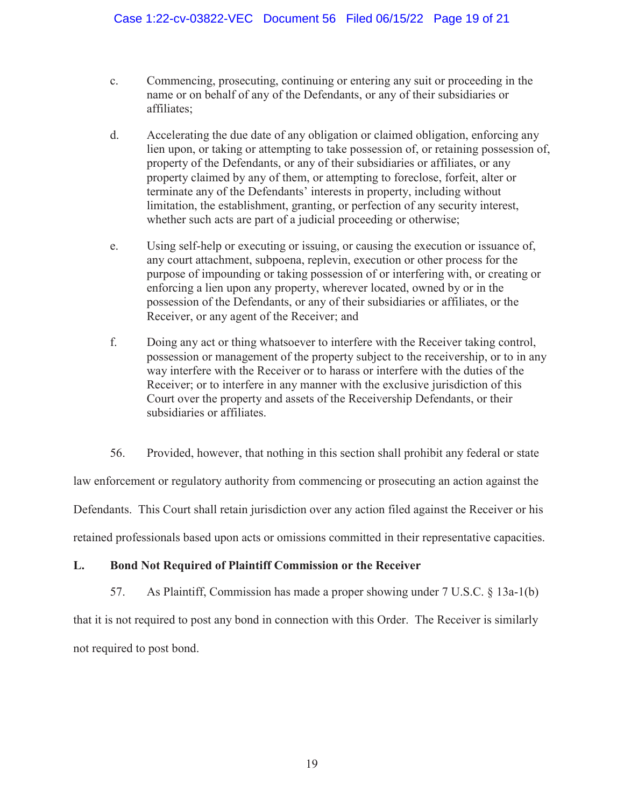- c. Commencing, prosecuting, continuing or entering any suit or proceeding in the name or on behalf of any of the Defendants, or any of their subsidiaries or affiliates;
- d. Accelerating the due date of any obligation or claimed obligation, enforcing any lien upon, or taking or attempting to take possession of, or retaining possession of, property of the Defendants, or any of their subsidiaries or affiliates, or any property claimed by any of them, or attempting to foreclose, forfeit, alter or terminate any of the Defendants' interests in property, including without limitation, the establishment, granting, or perfection of any security interest, whether such acts are part of a judicial proceeding or otherwise;
- e. Using self-help or executing or issuing, or causing the execution or issuance of, any court attachment, subpoena, replevin, execution or other process for the purpose of impounding or taking possession of or interfering with, or creating or enforcing a lien upon any property, wherever located, owned by or in the possession of the Defendants, or any of their subsidiaries or affiliates, or the Receiver, or any agent of the Receiver; and
- f. Doing any act or thing whatsoever to interfere with the Receiver taking control, possession or management of the property subject to the receivership, or to in any way interfere with the Receiver or to harass or interfere with the duties of the Receiver; or to interfere in any manner with the exclusive jurisdiction of this Court over the property and assets of the Receivership Defendants, or their subsidiaries or affiliates.
- 56. Provided, however, that nothing in this section shall prohibit any federal or state

law enforcement or regulatory authority from commencing or prosecuting an action against the

Defendants. This Court shall retain jurisdiction over any action filed against the Receiver or his

retained professionals based upon acts or omissions committed in their representative capacities.

# **L. Bond Not Required of Plaintiff Commission or the Receiver**

57. As Plaintiff, Commission has made a proper showing under 7 U.S.C. § 13a-1(b)

that it is not required to post any bond in connection with this Order. The Receiver is similarly not required to post bond.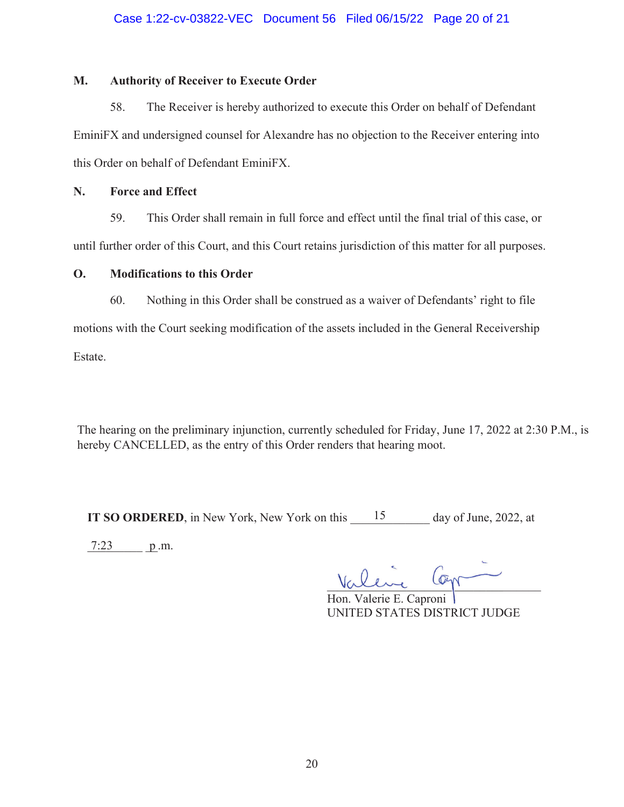# **M. Authority of Receiver to Execute Order**

58. The Receiver is hereby authorized to execute this Order on behalf of Defendant EminiFX and undersigned counsel for Alexandre has no objection to the Receiver entering into this Order on behalf of Defendant EminiFX. Case 1:22-cv-03822-VEC Document 56 Filed 06/15/22 Page 20 of 21<br>
Authority of Receiver to Exceute Order<br>
S. The Receiver is hereby authorized to execute this Order on behalf of Defe<br>
S. The Receiver is hereby authorized t

## **N. Force and Effect**

59. This Order shall remain in full force and effect until the final trial of this case, or until further order of this Court, and this Court retains jurisdiction of this matter for all purposes.

# **O. Modifications to this Order**

60. Nothing in this Order shall be construed as a waiver of Defendants' right to file

motions with the Court seeking modification of the assets included in the General Receivership

Estate.

The hearing on the preliminary injunction, currently scheduled for Friday, June 17, 2022 at 2:30 P.M., is hereby CANCELLED, as the entry of this Order renders that hearing moot.

**IT SO ORDERED**, in New York, New York on this  $\frac{15}{2}$  day of June, 2022, at

 $7:23$  p.m.

Vallue Cop Valline Cogn

Hon. Valerie E. Caproni UNITED STATES DISTRICT JUDGE